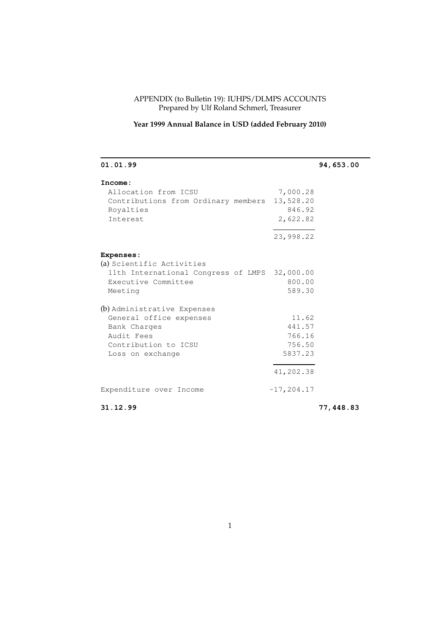#### APPENDIX (to Bulletin 19): IUHPS/DLMPS ACCOUNTS Prepared by Ulf Roland Schmerl, Treasurer

# **Year 1999 Annual Balance in USD (added February 2010)**

| 01.01.99                                      |               | 94,653.00 |
|-----------------------------------------------|---------------|-----------|
| Income:                                       |               |           |
| Allocation from ICSU                          | 7,000.28      |           |
| Contributions from Ordinary members           | 13,528.20     |           |
| Royalties                                     | 846.92        |           |
| Interest                                      | 2,622.82      |           |
|                                               | 23,998.22     |           |
| <b>Expenses:</b>                              |               |           |
| (a) Scientific Activities                     |               |           |
| 11th International Congress of LMPS 32,000.00 |               |           |
| Executive Committee                           | 800.00        |           |
| Meeting                                       | 589.30        |           |
| (b) Administrative Expenses                   |               |           |
| General office expenses                       | 11.62         |           |
| Bank Charges                                  | 441.57        |           |
| Audit Fees                                    | 766.16        |           |
| Contribution to ICSU                          | 756.50        |           |
| Loss on exchange                              | 5837.23       |           |
|                                               | 41,202.38     |           |
| Expenditure over Income                       | $-17, 204.17$ |           |
| 31.12.99                                      |               | 77,448.83 |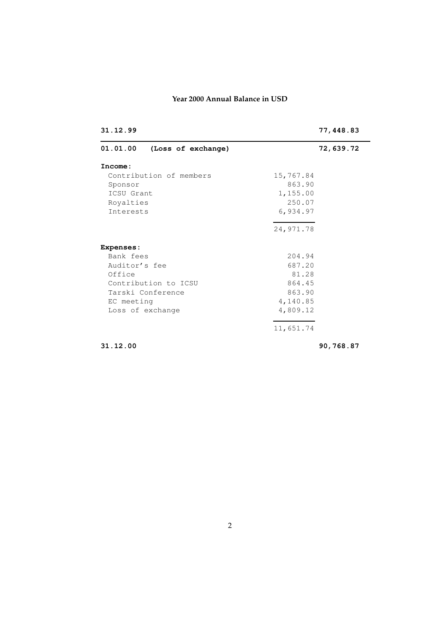## **Year 2000 Annual Balance in USD**

| 01.01.00<br>(Loss of exchange)<br>Income:<br>Contribution of members<br>15,767.84<br>863.90<br>Sponsor<br>1,155.00<br>ICSU Grant<br>250.07<br>Royalties<br>6,934.97<br>Interests<br>24,971.78<br><b>Expenses:</b><br>Bank fees<br>204.94<br>687.20<br>Auditor's fee<br>81.28<br>Office<br>Contribution to ICSU<br>864.45<br>863.90<br>Tarski Conference<br>4,140.85<br>EC meeting<br>4,809.12<br>Loss of exchange | 31.12.99 | 77,448.83 |
|-------------------------------------------------------------------------------------------------------------------------------------------------------------------------------------------------------------------------------------------------------------------------------------------------------------------------------------------------------------------------------------------------------------------|----------|-----------|
|                                                                                                                                                                                                                                                                                                                                                                                                                   |          | 72,639.72 |
|                                                                                                                                                                                                                                                                                                                                                                                                                   |          |           |
|                                                                                                                                                                                                                                                                                                                                                                                                                   |          |           |
|                                                                                                                                                                                                                                                                                                                                                                                                                   |          |           |
|                                                                                                                                                                                                                                                                                                                                                                                                                   |          |           |
|                                                                                                                                                                                                                                                                                                                                                                                                                   |          |           |
|                                                                                                                                                                                                                                                                                                                                                                                                                   |          |           |
|                                                                                                                                                                                                                                                                                                                                                                                                                   |          |           |
|                                                                                                                                                                                                                                                                                                                                                                                                                   |          |           |
|                                                                                                                                                                                                                                                                                                                                                                                                                   |          |           |
|                                                                                                                                                                                                                                                                                                                                                                                                                   |          |           |
|                                                                                                                                                                                                                                                                                                                                                                                                                   |          |           |
|                                                                                                                                                                                                                                                                                                                                                                                                                   |          |           |
|                                                                                                                                                                                                                                                                                                                                                                                                                   |          |           |
|                                                                                                                                                                                                                                                                                                                                                                                                                   |          |           |
|                                                                                                                                                                                                                                                                                                                                                                                                                   |          |           |
| 11,651.74                                                                                                                                                                                                                                                                                                                                                                                                         |          |           |

**31.12.00 90,768.87**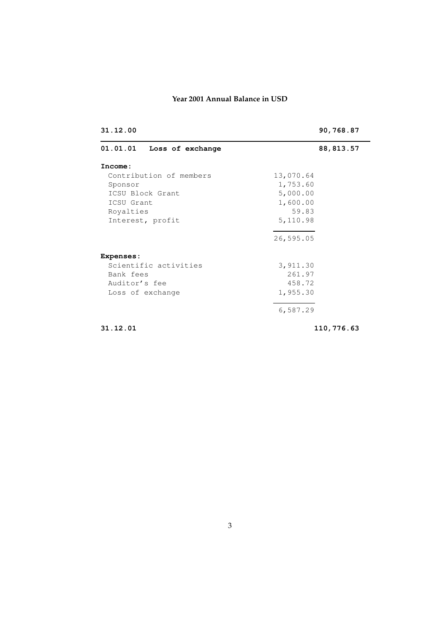## **Year 2001 Annual Balance in USD**

| 31.12.00                     | 90,768.87  |  |
|------------------------------|------------|--|
| 01.01.01<br>Loss of exchange | 88, 813.57 |  |
| Income:                      |            |  |
| Contribution of members      | 13,070.64  |  |
| Sponsor                      | 1,753.60   |  |
| ICSU Block Grant             | 5,000.00   |  |
| ICSU Grant                   | 1,600.00   |  |
| Royalties                    | 59.83      |  |
| Interest, profit             | 5,110.98   |  |
|                              | 26,595.05  |  |
| Expenses:                    |            |  |
| Scientific activities        | 3,911.30   |  |
| Bank fees                    | 261.97     |  |
| Auditor's fee                | 458.72     |  |
| Loss of exchange             | 1,955.30   |  |
|                              | 6,587.29   |  |
| 31.12.01                     | 110,776.63 |  |